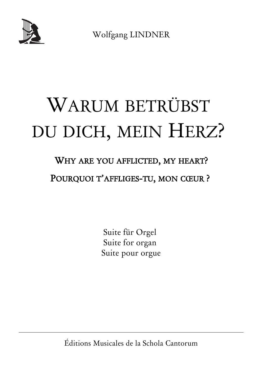

Wolfgang LINDNER

# WARUM BETRÜBST DU DICH, MEIN HERZ?

# WHY ARE YOU AFFLICTED, MY HEART?

# POURQUOI T'AFFLIGES-TU, MON CŒUR ?

Suite für Orgel Suite for organ Suite pour orgue

Éditions Musicales de la Schola Cantorum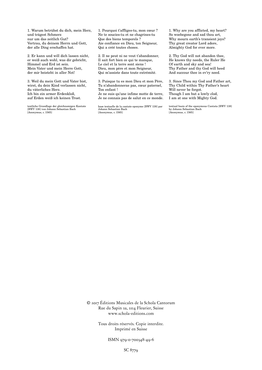1. Warum betrübst du dich, mein Herz, und trägest Schmerz nur um das zeitlich Gut? Vertrau, du deinem Herrn und Gott, der alle Ding erschaffen hat.

2. Er kann und will dich lassen nicht, er weiß auch wohl, was dir gebricht, Himmel und Erd ist sein. Mein Vater und mein Herre Gott, der mir beisteht in aller Not!

3. Weil du mein Gott und Vater bist, wirst, du dein Kind verlassen nicht, du väterliches Herz. Ich bin ein armer Erdenkloß, auf Erden weiß ich keinen Trost.

textliche Grundlage der gleichnamigen Kantate [BWV 138] von Johann Sebastian Bach [Anonymus, c. 1565]

1. Pourquoi t'affliges-tu, mon cœur ? Ne te soucies-tu et ne chagrines-tu Que des biens temporels ? Aie confiance en Dieu, ton Seigneur, Qui a créé toutes choses.

2. Il ne peut ni ne veut t'abandonner, Il sait fort bien ce qui te manque, Le ciel et la terre sont siens ! Dieu, mon père et mon Seigneur, Qui m'assiste dans toute extrémité.

3. Puisque tu es mon Dieu et mon Père, Tu n'abandonneras pas, cœur paternel, Ton enfant !

Je ne suis qu'une infime motte de terre, Je ne connais pas de salut en ce monde.

base textuelle de la cantate eponyme [BWV 138] par Johann Sebastian Bach [Anonymus, c. 1565]

1. Why are you afflicted, my heart? So woebegone and sad thou art, Why mourn earth's transient joys? Thy great creator Lord adore, Almighty God for ever more.

2. Thy God will not abandon thee, He knows thy needs, the Ruler He Of earth and sky and sea! Thy Father and thy God will heed And succour thee in ev'ry need.

3. Since Thou my God and Father art, Thy Child within Thy Father's heart Will never be forgot. Though I am but a lowly clod, I am at one with Mighty God.

textual basis of the eponymous Cantata [BWV 138] by Johann Sebastian Bach [Anonymus, c. 1565]

© 2017 Éditions Musicales de la Schola Cantorum Rue du Sapin 2a, 2114 Fleurier, Suisse www.schola-editions.com

> Tous droits réservés. Copie interdite. Imprimé en Suisse

> > ISMN 979-0-700348-49-6

SC 8779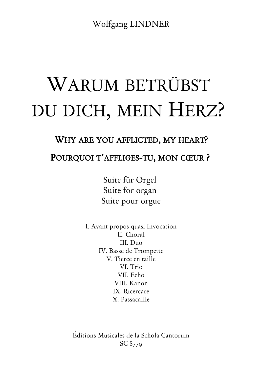Wolfgang LINDNER

# WARUM BETRÜBST DU DICH, MEIN HERZ?

#### WHY ARE YOU AFFLICTED, MY HEART?

## POURQUOI T'AFFLIGES-TU, MON CŒUR ?

Suite für Orgel Suite for organ Suite pour orgue

I. Avant propos quasi Invocation II. Choral III. Duo IV. Basse de Trompette V. Tierce en taille VI. Trio VII. Echo VIII. Kanon IX. Ricercare X. Passacaille

Éditions Musicales de la Schola Cantorum SC 8779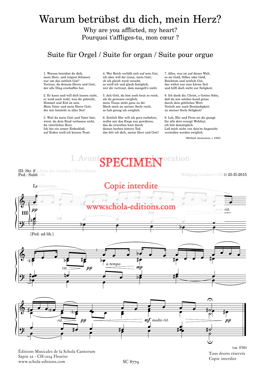# Warum betrübst du dich, mein Herz?

Why are you afflicted, my heart? Pourquoi t'affliges-tu, mon cœur ?

#### Suite für Orgel / Suite for organ / Suite pour orgue

1. Warum betrübst du dich, mein Herz, und trägest Schmerz nur um das zeitlich Gut? Vertrau, du deinem Herrn und Gott, der alle Ding erschaffen hat.

2. Er kann und will dich lassen nicht, er weiß auch wohl, was dir gebricht, Himmel und Erd ist sein. Mein Vater und mein Herre Gott, der mir beisteht in aller Not!

3. Weil du mein Gott und Vater bist, wirst, du dein Kind verlassen nicht, du väterliches Herz. Ich bin ein armer Erdenkloß, auf Erden weiß ich keinen Trost.

4. Wer Reich verläßt sich auf sein Gut, ich aber will dir traun, mein Gott; ob ich gleich werd veracht, so weiß ich und glaub festiglich, wer dir vertraut, dem mangelt's nicht.

5. Ach Gott, du bist noch heut so reich, als du gewesen ewiglich, mein Traun steht ganz zu dir. Mach mich an meiner Seele reich, so hab genug ich ewiglich.

6. Zeitlich Ehr will ich gern entbehrn, wollst mir das Ewge nur gewähren, das du erworben hast durch deinen herben bittern Tod; das bitt ich dich, meine Herr und Gott! 7. Alles, was ist auf dieser Welt, es sei Gold, Silber oder Geld, Reichtum und zeitlich Gut, das währt nur eine kleine Zeit und hilft doch nicht zur Seligkeit.

8. Ich dank dir, Christ, o Gottes Sohn, daß du mir solches kund getan durch dein göttliches Wort. Verleih mir auch Beständigkeit zu meiner Seele Seligkeit!

9. Lob, Ehr und Preis sei dir gesagt für alle dein erzeigt Wohltat; ich bitt demütiglich: Laß mich nicht von dein'm Angesicht verstoßen werden ewiglich.

(Bittlied: Anonymus, c.1565)

I. Avant SPECIMEN ocation

III: Str. 8' / Jeux des Gambes / Voix céleste Ped.: Subb. 16'

#### Wolfgang Lindner (1956) 25-II-2015







Éditions Musicales de la Schola Cantorum Tous www.schola-editions.com Sapin 2a - CH-2114 Fleurier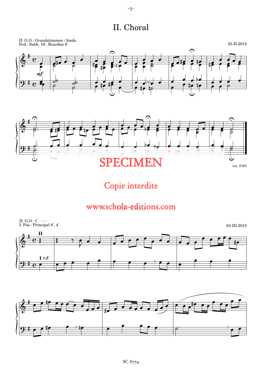II. Choral



Copie interdite

# www.schola-editions.com



-3-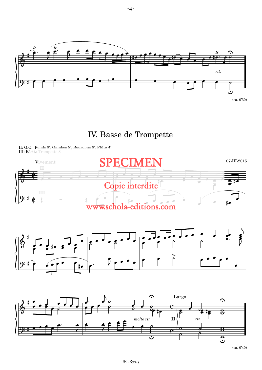

-4-

## IV. Basse de Trompette

II: G.O.: Fonds 8', Gambes 8', Bourdons 8', Flûte 4' III: Récit.: Trompette 8'





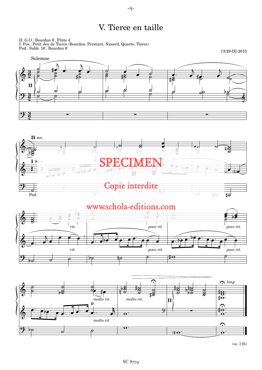## V. Tierce en taille









13/29-III-2015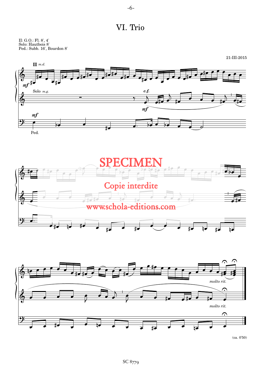

VI. Trio

II: G.O.: Fl. 8', 4' Solo: Hautbois 8' Ped.: Subb. 16', Bourdon 8'







(ca. 0'50)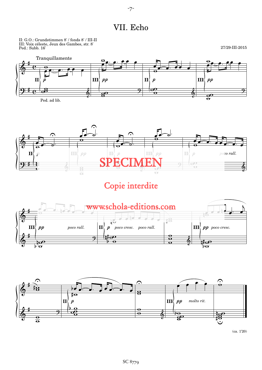#### VII. Echo

II: G.O.: Grundstimmen 8' / fonds 8' / III-II III: Voix céleste, Jeux des Gambes, str. 8' Ped.: Subb. 16'

27/29-III-2015







Copie interdite





(ca. 1'20)

#### -7-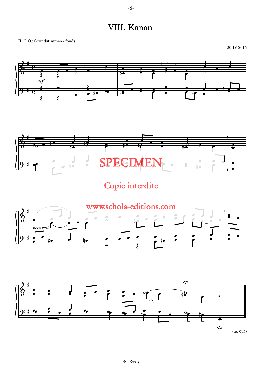VIII. Kanon

II: G.O.: Grundstimmen / fonds





Copie interdite



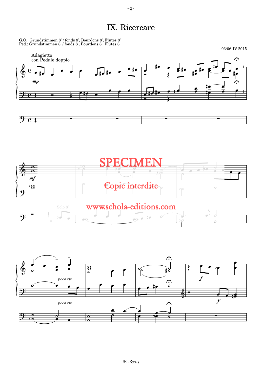IX. Ricercare

G.O.: Grundstimmen 8' / fonds 8', Bourdons 8', Flûtes 8' Ped.: Grundstimmen 8' / fonds 8', Bourdons 8', Flûtes 8'





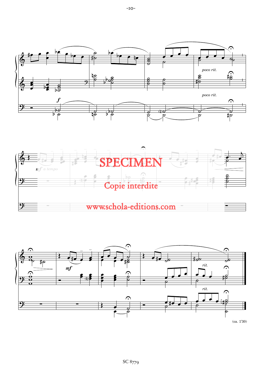





(ca. 1'30)

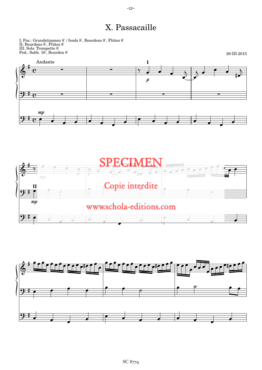### X. Passacaille

I: Pos.: Grundstimmen 8' / fonds 8', Bourdons 8', Flûtes 8' II: Bourdons 8', Flûtes 8' III: Solo: Trompette 8' Ped.: Subb. 16', Bourdon 8'





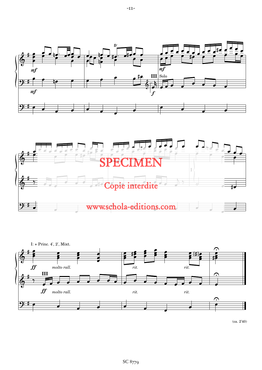





(ca. 2'40)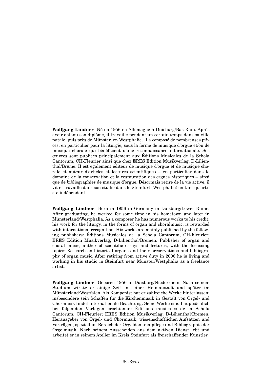**Wolfgang Lindner** Né en 1956 en Allemagne à Duisburg/Bas-Rhin. Après avoir obtenu son diplôme, il travaille pendant un certain temps dans sa ville natale, puis près de Münster, en Westphalie. Il a composé de nombreuses pièces, en particulier pour la liturgie, sous la forme de musique d'orgue et/ou de musique chorale qui bénéficient d'une reconnaissance internationale. Ses œuvres sont publiées principalement aux Éditions Musicales de la Schola Cantorum, CH-Fleurier ainsi que chez ERES Edition Musikverlag, D-Lilienthal/Brême. Il est également éditeur de musique d'orgue et de musique chorale et auteur d'articles et lectures scientifiques – en particulier dans le domaine de la conservation et la restauration des orgues historiques – ainsi que de bibliographies de musique d'orgue. Désormais retiré de la vie active, il vit et travaille dans son studio dans le Steinfurt (Westphalie) en tant qu'artiste indépendant.

**Wolfgang Lindner** Born in 1956 in Germany in Duisburg/Lower Rhine. After graduating, he worked for some time in his hometown and later in Münsterland/Westphalia. As a composer he has numerous works to his credit; his work for the liturgy, in the forms of organ and choralmusic, is rewarded with international recognition. His works are mainly published by the following publishers: Éditions Musicales de la Schola Cantorum, CH-Fleurier; ERES Edition Musikverlag, D-Lilienthal/Bremen. Publisher of organ and choral music, author of scientific essays and lectures, with the focussing topics: Research on historical organs and their preservations and bibliography of organ music. After retiring from active duty in 2006 he is living and working in his studio in Steinfurt near Münster/Westphalia as a freelance artist.

**Wolfgang Lindner** Geboren 1956 in Duisburg/Niederrhein. Nach seinem Studium wirkte er einige Zeit in seiner Heimatstadt und später im Münsterland/Westfalen. Als Komponist hat er zahlreiche Werke hinterlassen; insbesondere sein Schaffen für die Kirchenmusik in Gestalt von Orgel- und Chormusik findet internationale Beachtung. Seine Werke sind hauptsächlich bei folgenden Verlagen erschienen: Éditions musicales de la Schola Cantorum, CH-Fleurier; ERES Edition Musikverlag, D-Lilienthal/Bremen. Herausgeber von Orgel- und Chormusik, wissenschaftlichen Aufsätzen und Vorträgen, speziell im Bereich der Orgeldenkmalpflege und Bibliographie der Orgelmusik. Nach seinem Ausscheiden aus dem aktiven Dienst lebt und arbeitet er in seinem Atelier im Kreis Steinfurt als freischaffender Künstler.